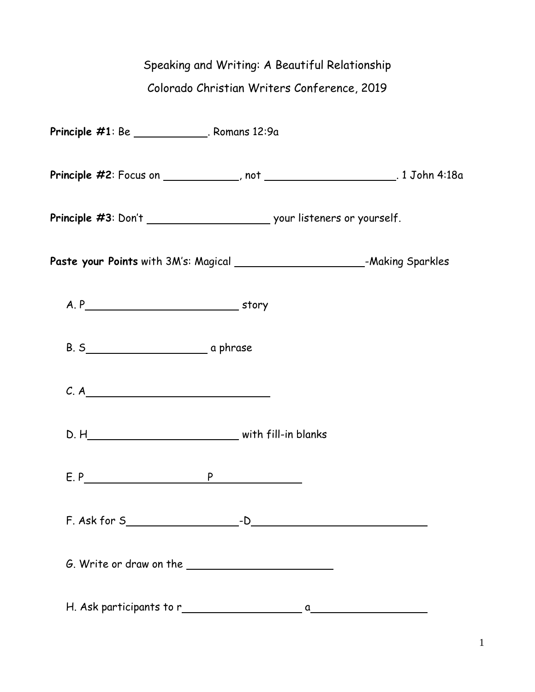## Speaking and Writing: A Beautiful Relationship

## Colorado Christian Writers Conference, 2019

| <b>Principle #1</b> : Be _______________. Romans 12:9a |                                                                                 |
|--------------------------------------------------------|---------------------------------------------------------------------------------|
|                                                        | Principle #2: Focus on ____________, not ________________________. 1 John 4:18a |
|                                                        |                                                                                 |
|                                                        |                                                                                 |
|                                                        |                                                                                 |
|                                                        |                                                                                 |
| C. A                                                   |                                                                                 |
|                                                        |                                                                                 |
| E.P                                                    | P                                                                               |
|                                                        |                                                                                 |
|                                                        |                                                                                 |
|                                                        |                                                                                 |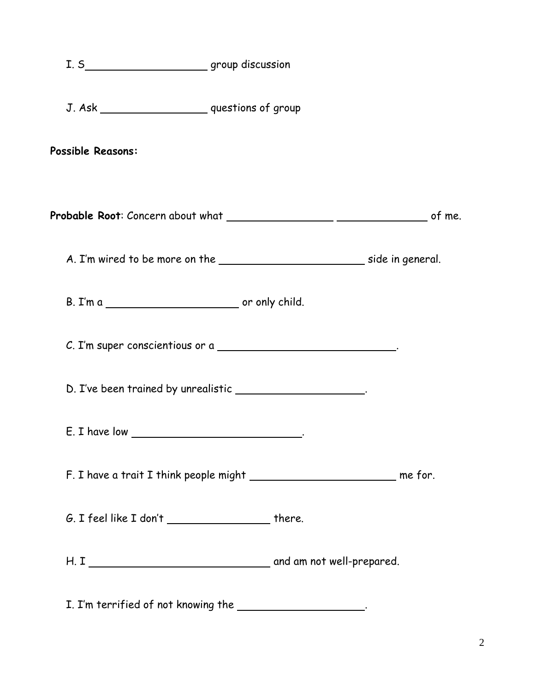| I. S___________________________group discussion                                  |  |
|----------------------------------------------------------------------------------|--|
| J. Ask ________________________ questions of group                               |  |
| <b>Possible Reasons:</b>                                                         |  |
|                                                                                  |  |
|                                                                                  |  |
|                                                                                  |  |
| C. I'm super conscientious or a ________________________________.                |  |
| D. I've been trained by unrealistic _____________________.                       |  |
|                                                                                  |  |
| F. I have a trait I think people might _________________________________ me for. |  |
| $G.$ I feel like I don't $\_\_\_\_\_\_\_\_\_\_\_\_\_\_\_\_\_\_$ there.           |  |
|                                                                                  |  |
|                                                                                  |  |

I. I'm terrified of not knowing the \_\_\_\_\_\_\_\_\_\_\_\_\_\_\_\_\_\_\_\_.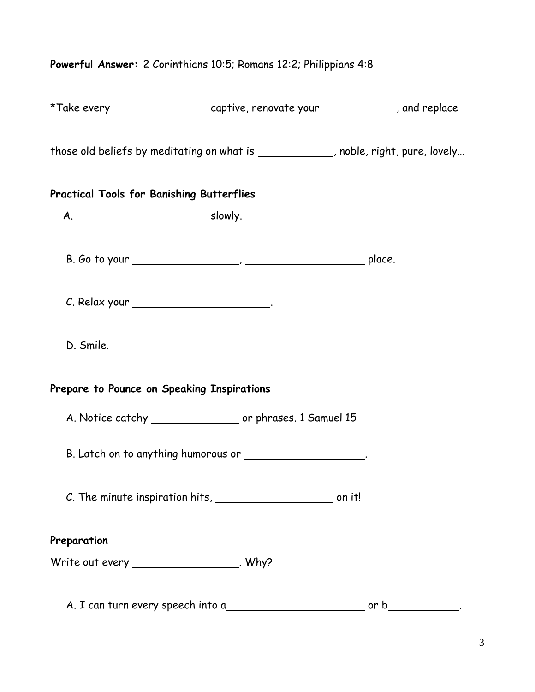## **Powerful Answer:** 2 Corinthians 10:5; Romans 12:2; Philippians 4:8

| *Take every _________________________captive, renovate your _____________, and replace |      |
|----------------------------------------------------------------------------------------|------|
| those old beliefs by meditating on what is _____________, noble, right, pure, lovely   |      |
| <b>Practical Tools for Banishing Butterflies</b>                                       |      |
|                                                                                        |      |
|                                                                                        |      |
| C. Relax your ___________________________.                                             |      |
| D. Smile.                                                                              |      |
| Prepare to Pounce on Speaking Inspirations                                             |      |
| A. Notice catchy ___________________ or phrases. 1 Samuel 15                           |      |
| B. Latch on to anything humorous or ____________________.                              |      |
|                                                                                        |      |
| Preparation                                                                            |      |
| Write out every ______________________. Why?                                           |      |
| A. I can turn every speech into a                                                      | or b |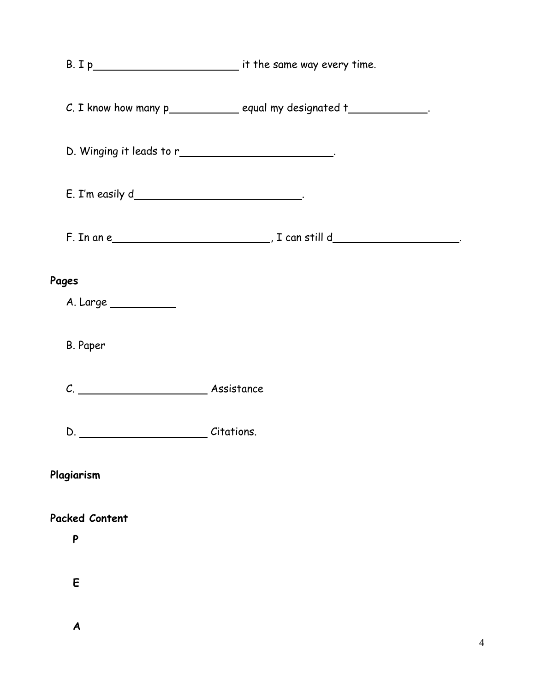|                                                        | C. I know how many p_____________ equal my designated t______________. |
|--------------------------------------------------------|------------------------------------------------------------------------|
| D. Winging it leads to r_____________________________. |                                                                        |
| E. I'm easily d___________________________________.    |                                                                        |
|                                                        |                                                                        |
| Pages                                                  |                                                                        |
| A. Large ___________                                   |                                                                        |
| B. Paper                                               |                                                                        |
|                                                        |                                                                        |
| D. Citations.                                          |                                                                        |
| Plagiarism                                             |                                                                        |
| <b>Packed Content</b>                                  |                                                                        |
| P                                                      |                                                                        |
| E                                                      |                                                                        |

 **A**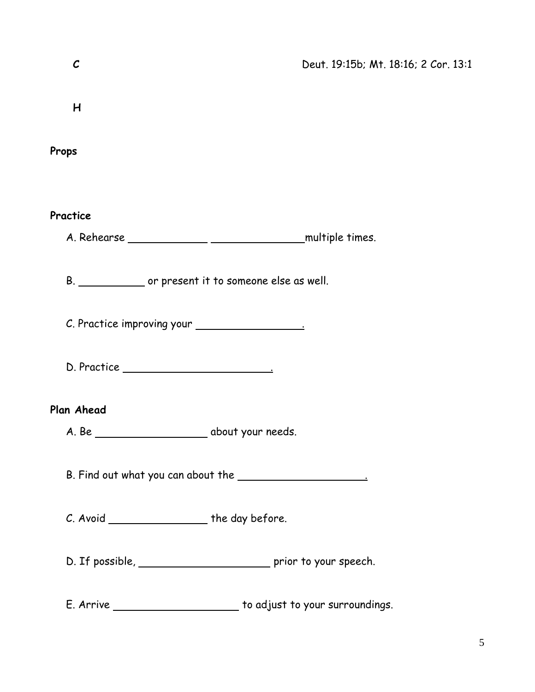| $\mathcal{C}$                                   | Deut. 19:15b; Mt. 18:16; 2 Cor. 13:1                               |
|-------------------------------------------------|--------------------------------------------------------------------|
| H                                               |                                                                    |
| Props                                           |                                                                    |
|                                                 |                                                                    |
| Practice                                        |                                                                    |
|                                                 | B. _______________ or present it to someone else as well.          |
|                                                 |                                                                    |
|                                                 |                                                                    |
| Plan Ahead                                      |                                                                    |
|                                                 |                                                                    |
|                                                 |                                                                    |
| C. Avoid ______________________ the day before. |                                                                    |
|                                                 | D. If possible, ____________________________ prior to your speech. |
|                                                 | E. Arrive ________________________ to adjust to your surroundings. |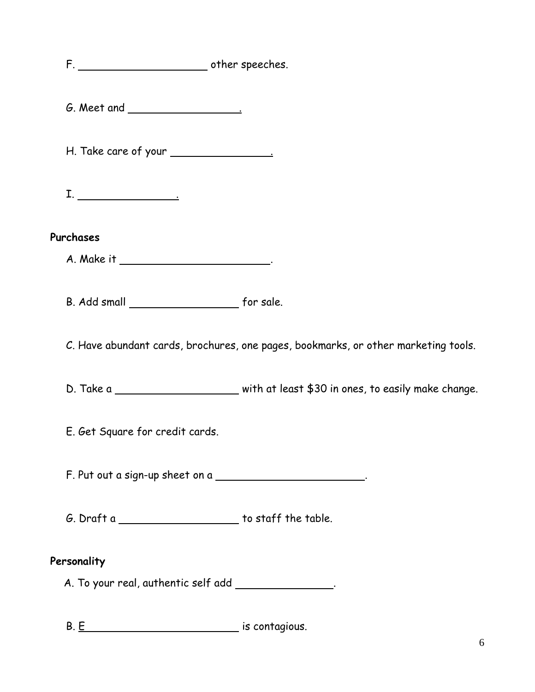F. **Contract Contract Contract Contract Contract Contract Contract Contract Contract Contract Contract Contract Contract Contract Contract Contract Contract Contract Contract Contract Contract Contract Contract Contract Co**  G. Meet and . H. Take care of your .  $\begin{tabular}{|c|c|c|c|} \hline \rule{0.2cm}{.01cm} \rule{0.2cm}{.01cm} \rule{0.2cm}{.01cm} \rule{0.2cm}{.01cm} \rule{0.2cm}{.01cm} \rule{0.2cm}{.01cm} \rule{0.2cm}{.01cm} \rule{0.2cm}{.01cm} \rule{0.2cm}{.01cm} \rule{0.2cm}{.01cm} \rule{0.2cm}{.01cm} \rule{0.2cm}{.01cm} \rule{0.2cm}{.01cm} \rule{0.2cm}{.01cm} \rule{0.2cm}{.01cm} \rule{0.2$ **Purchases** A. Make it \_\_\_\_\_\_\_\_\_\_\_\_\_\_\_\_\_\_\_\_\_\_\_\_\_\_. B. Add small for sale.

C. Have abundant cards, brochures, one pages, bookmarks, or other marketing tools.

D. Take a subsequent that least \$30 in ones, to easily make change.

E. Get Square for credit cards.

F. Put out a sign-up sheet on a .

 $G.$  Draft a  $\begin{array}{c} \begin{array}{c} \end{array}$  to staff the table.

## **Personality**

A. To your real, authentic self add .

B. E is contagious.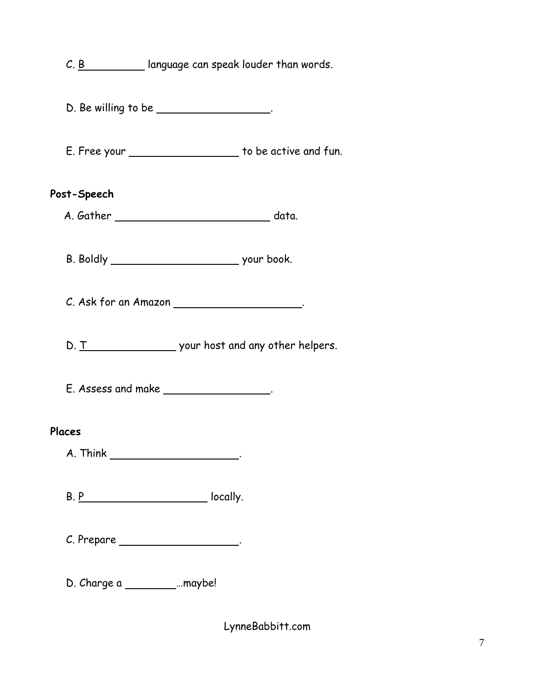|                                    | $C. B$   anguage can speak louder than words.                          |
|------------------------------------|------------------------------------------------------------------------|
|                                    | $D.$ Be willing to be $\_\_\_\_\_\_\_\_\_\_\_\_\_\_\_\_\_\_\_\_\_\_$ . |
|                                    | E. Free your _______________________ to be active and fun.             |
| Post-Speech                        |                                                                        |
|                                    |                                                                        |
|                                    |                                                                        |
|                                    | C. Ask for an Amazon ______________________.                           |
|                                    |                                                                        |
|                                    | $E.$ Assess and make _________________.                                |
| Places                             |                                                                        |
|                                    |                                                                        |
|                                    |                                                                        |
|                                    | C. Prepare ______________________.                                     |
| D. Charge a ________________maybe! |                                                                        |

LynneBabbitt.com